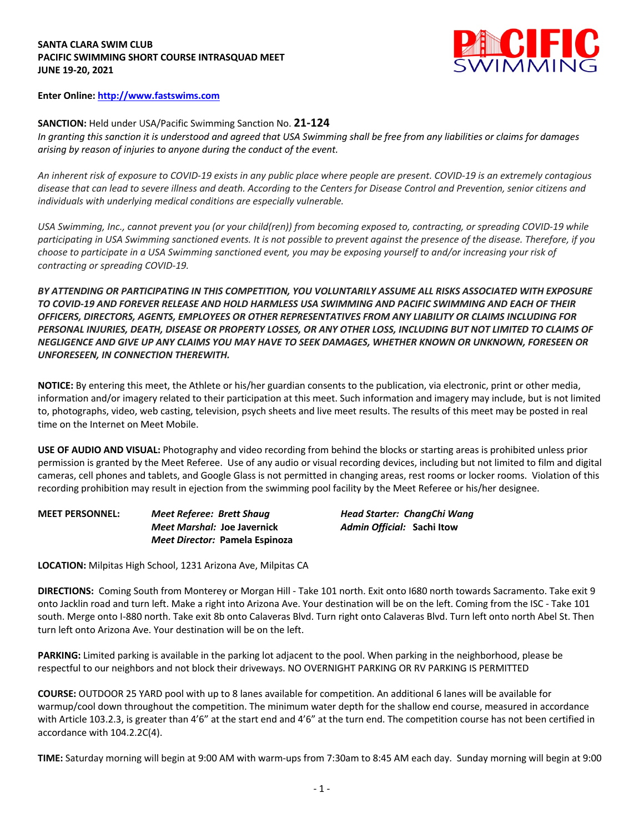## **SANTA CLARA SWIM CLUB PACIFIC SWIMMING SHORT COURSE INTRASQUAD MEET JUNE 19-20, 2021**



## **Enter Online: http://www.fastswims.com**

## **SANCTION:** Held under USA/Pacific Swimming Sanction No. **21-124**

*In granting this sanction it is understood and agreed that USA Swimming shall be free from any liabilities or claims for damages arising by reason of injuries to anyone during the conduct of the event.* 

*An inherent risk of exposure to COVID-19 exists in any public place where people are present. COVID-19 is an extremely contagious disease that can lead to severe illness and death. According to the Centers for Disease Control and Prevention, senior citizens and individuals with underlying medical conditions are especially vulnerable.*

*USA Swimming, Inc., cannot prevent you (or your child(ren)) from becoming exposed to, contracting, or spreading COVID-19 while participating in USA Swimming sanctioned events. It is not possible to prevent against the presence of the disease. Therefore, if you choose to participate in a USA Swimming sanctioned event, you may be exposing yourself to and/or increasing your risk of contracting or spreading COVID-19.*

*BY ATTENDING OR PARTICIPATING IN THIS COMPETITION, YOU VOLUNTARILY ASSUME ALL RISKS ASSOCIATED WITH EXPOSURE TO COVID-19 AND FOREVER RELEASE AND HOLD HARMLESS USA SWIMMING AND PACIFIC SWIMMING AND EACH OF THEIR OFFICERS, DIRECTORS, AGENTS, EMPLOYEES OR OTHER REPRESENTATIVES FROM ANY LIABILITY OR CLAIMS INCLUDING FOR PERSONAL INJURIES, DEATH, DISEASE OR PROPERTY LOSSES, OR ANY OTHER LOSS, INCLUDING BUT NOT LIMITED TO CLAIMS OF NEGLIGENCE AND GIVE UP ANY CLAIMS YOU MAY HAVE TO SEEK DAMAGES, WHETHER KNOWN OR UNKNOWN, FORESEEN OR UNFORESEEN, IN CONNECTION THEREWITH.*

**NOTICE:** By entering this meet, the Athlete or his/her guardian consents to the publication, via electronic, print or other media, information and/or imagery related to their participation at this meet. Such information and imagery may include, but is not limited to, photographs, video, web casting, television, psych sheets and live meet results. The results of this meet may be posted in real time on the Internet on Meet Mobile.

**USE OF AUDIO AND VISUAL:** Photography and video recording from behind the blocks or starting areas is prohibited unless prior permission is granted by the Meet Referee. Use of any audio or visual recording devices, including but not limited to film and digital cameras, cell phones and tablets, and Google Glass is not permitted in changing areas, rest rooms or locker rooms. Violation of this recording prohibition may result in ejection from the swimming pool facility by the Meet Referee or his/her designee.

**MEET PERSONNEL:** *Meet Referee: Brett Shaug Head Starter: ChangChi Wang Meet Marshal:* **Joe Javernick** *Admin Official:* **Sachi Itow** *Meet Director:* **Pamela Espinoza**

**LOCATION:** Milpitas High School, 1231 Arizona Ave, Milpitas CA

**DIRECTIONS:** Coming South from Monterey or Morgan Hill - Take 101 north. Exit onto I680 north towards Sacramento. Take exit 9 onto Jacklin road and turn left. Make a right into Arizona Ave. Your destination will be on the left. Coming from the ISC - Take 101 south. Merge onto I-880 north. Take exit 8b onto Calaveras Blvd. Turn right onto Calaveras Blvd. Turn left onto north Abel St. Then turn left onto Arizona Ave. Your destination will be on the left.

**PARKING:** Limited parking is available in the parking lot adjacent to the pool. When parking in the neighborhood, please be respectful to our neighbors and not block their driveways. NO OVERNIGHT PARKING OR RV PARKING IS PERMITTED

**COURSE:** OUTDOOR 25 YARD pool with up to 8 lanes available for competition. An additional 6 lanes will be available for warmup/cool down throughout the competition. The minimum water depth for the shallow end course, measured in accordance with Article 103.2.3, is greater than 4'6" at the start end and 4'6" at the turn end. The competition course has not been certified in accordance with 104.2.2C(4).

**TIME:** Saturday morning will begin at 9:00 AM with warm-ups from 7:30am to 8:45 AM each day. Sunday morning will begin at 9:00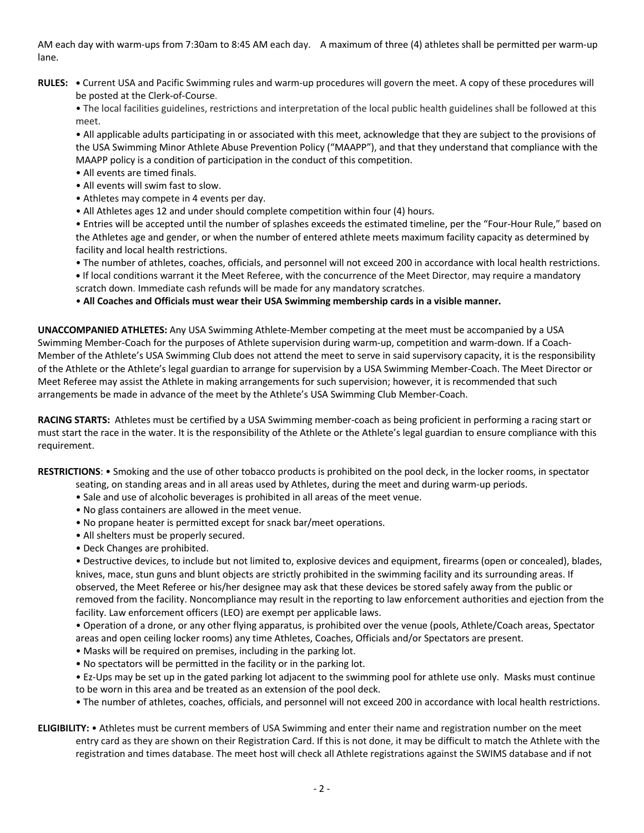AM each day with warm-ups from 7:30am to 8:45 AM each day. A maximum of three (4) athletes shall be permitted per warm-up lane.

**RULES: •** Current USA and Pacific Swimming rules and warm-up procedures will govern the meet. A copy of these procedures will be posted at the Clerk-of-Course.

• The local facilities guidelines, restrictions and interpretation of the local public health guidelines shall be followed at this meet.

• All applicable adults participating in or associated with this meet, acknowledge that they are subject to the provisions of the USA Swimming Minor Athlete Abuse Prevention Policy ("MAAPP"), and that they understand that compliance with the MAAPP policy is a condition of participation in the conduct of this competition.

- All events are timed finals.
- All events will swim fast to slow.
- Athletes may compete in 4 events per day.
- All Athletes ages 12 and under should complete competition within four (4) hours.

• Entries will be accepted until the number of splashes exceeds the estimated timeline, per the "Four-Hour Rule," based on the Athletes age and gender, or when the number of entered athlete meets maximum facility capacity as determined by facility and local health restrictions.

• The number of athletes, coaches, officials, and personnel will not exceed 200 in accordance with local health restrictions. **•** If local conditions warrant it the Meet Referee, with the concurrence of the Meet Director, may require a mandatory scratch down. Immediate cash refunds will be made for any mandatory scratches.

• **All Coaches and Officials must wear their USA Swimming membership cards in a visible manner.** 

**UNACCOMPANIED ATHLETES:** Any USA Swimming Athlete-Member competing at the meet must be accompanied by a USA Swimming Member-Coach for the purposes of Athlete supervision during warm-up, competition and warm-down. If a Coach-Member of the Athlete's USA Swimming Club does not attend the meet to serve in said supervisory capacity, it is the responsibility of the Athlete or the Athlete's legal guardian to arrange for supervision by a USA Swimming Member-Coach. The Meet Director or Meet Referee may assist the Athlete in making arrangements for such supervision; however, it is recommended that such arrangements be made in advance of the meet by the Athlete's USA Swimming Club Member-Coach.

**RACING STARTS:** Athletes must be certified by a USA Swimming member-coach as being proficient in performing a racing start or must start the race in the water. It is the responsibility of the Athlete or the Athlete's legal guardian to ensure compliance with this requirement.

**RESTRICTIONS**: • Smoking and the use of other tobacco products is prohibited on the pool deck, in the locker rooms, in spectator

- seating, on standing areas and in all areas used by Athletes, during the meet and during warm-up periods.
- Sale and use of alcoholic beverages is prohibited in all areas of the meet venue.
- No glass containers are allowed in the meet venue.
- No propane heater is permitted except for snack bar/meet operations.
- All shelters must be properly secured.
- Deck Changes are prohibited.

• Destructive devices, to include but not limited to, explosive devices and equipment, firearms (open or concealed), blades, knives, mace, stun guns and blunt objects are strictly prohibited in the swimming facility and its surrounding areas. If observed, the Meet Referee or his/her designee may ask that these devices be stored safely away from the public or removed from the facility. Noncompliance may result in the reporting to law enforcement authorities and ejection from the facility. Law enforcement officers (LEO) are exempt per applicable laws.

• Operation of a drone, or any other flying apparatus, is prohibited over the venue (pools, Athlete/Coach areas, Spectator areas and open ceiling locker rooms) any time Athletes, Coaches, Officials and/or Spectators are present.

- Masks will be required on premises, including in the parking lot.
- No spectators will be permitted in the facility or in the parking lot.

• Ez-Ups may be set up in the gated parking lot adjacent to the swimming pool for athlete use only. Masks must continue to be worn in this area and be treated as an extension of the pool deck.

- The number of athletes, coaches, officials, and personnel will not exceed 200 in accordance with local health restrictions.
- **ELIGIBILITY:** Athletes must be current members of USA Swimming and enter their name and registration number on the meet entry card as they are shown on their Registration Card. If this is not done, it may be difficult to match the Athlete with the registration and times database. The meet host will check all Athlete registrations against the SWIMS database and if not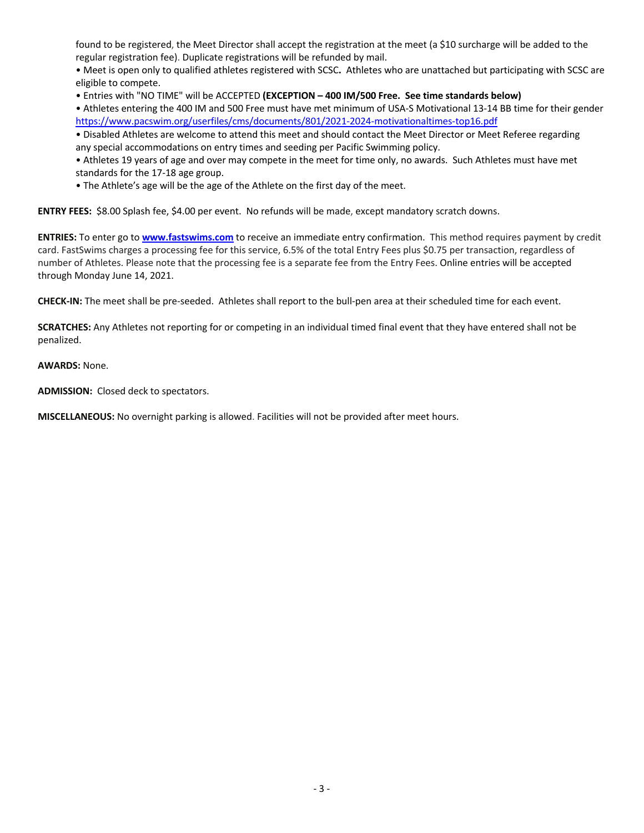found to be registered, the Meet Director shall accept the registration at the meet (a \$10 surcharge will be added to the regular registration fee). Duplicate registrations will be refunded by mail.

• Meet is open only to qualified athletes registered with SCSC**.** Athletes who are unattached but participating with SCSC are eligible to compete.

• Entries with "NO TIME" will be ACCEPTED **(EXCEPTION – 400 IM/500 Free. See time standards below)**

• Athletes entering the 400 IM and 500 Free must have met minimum of USA-S Motivational 13-14 BB time for their gender https://www.pacswim.org/userfiles/cms/documents/801/2021-2024-motivationaltimes-top16.pdf

• Disabled Athletes are welcome to attend this meet and should contact the Meet Director or Meet Referee regarding any special accommodations on entry times and seeding per Pacific Swimming policy.

• Athletes 19 years of age and over may compete in the meet for time only, no awards. Such Athletes must have met standards for the 17-18 age group.

• The Athlete's age will be the age of the Athlete on the first day of the meet.

**ENTRY FEES:** \$8.00 Splash fee, \$4.00 per event. No refunds will be made, except mandatory scratch downs.

**ENTRIES:** To enter go to **www.fastswims.com** to receive an immediate entry confirmation. This method requires payment by credit card. FastSwims charges a processing fee for this service, 6.5% of the total Entry Fees plus \$0.75 per transaction, regardless of number of Athletes. Please note that the processing fee is a separate fee from the Entry Fees. Online entries will be accepted through Monday June 14, 2021.

**CHECK-IN:** The meet shall be pre-seeded. Athletes shall report to the bull-pen area at their scheduled time for each event.

**SCRATCHES:** Any Athletes not reporting for or competing in an individual timed final event that they have entered shall not be penalized.

**AWARDS:** None.

**ADMISSION:** Closed deck to spectators.

**MISCELLANEOUS:** No overnight parking is allowed. Facilities will not be provided after meet hours.